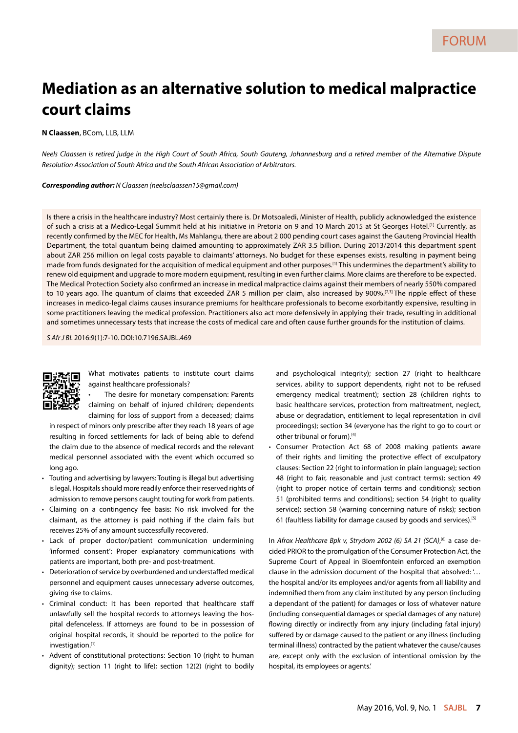# FORUM

# **Mediation as an alternative solution to medical malpractice court claims**

#### **N Claassen**, BCom, LLB, LLM

*Neels Claassen is retired judge in the High Court of South Africa, South Gauteng, Johannesburg [a](http://www.linkedin.com/vsearch/p?company=High+Court+of+South+Africa+-+South+Gauteng%2C+Johannesburg&trk=prof-0-ovw-prev_pos)nd a retired member of the Alternative Dispute Resolution Association of South Africa and the South African Association of Arbitrators.*

#### *Corresponding author: N Claassen (neelsclaassen15@gmail.com)*

Is there a crisis in the healthcare industry? Most certainly there is. Dr Motsoaledi, Minister of Health, publicly acknowledged the existence of such a crisis at a Medico-Legal Summit held at his initiative in Pretoria on 9 and 10 March 2015 at St Georges Hotel.<sup>[1]</sup> Currently, as recently confirmed by the MEC for Health, Ms Mahlangu, there are about 2 000 pending court cases against the Gauteng Provincial Health Department, the total quantum being claimed amounting to approximately ZAR 3.5 billion. During 2013/2014 this department spent about ZAR 256 million on legal costs payable to claimants' attorneys. No budget for these expenses exists, resulting in payment being made from funds designated for the acquisition of medical equipment and other purposes.[1] This undermines the department's ability to renew old equipment and upgrade to more modern equipment, resulting in even further claims. More claims are therefore to be expected. The Medical Protection Society also confirmed an increase in medical malpractice claims against their members of nearly 550% compared to 10 years ago. The quantum of claims that exceeded ZAR 5 million per claim, also increased by 900%.<sup>[2,3]</sup> The ripple effect of these increases in medico-legal claims causes insurance premiums for healthcare professionals to become exorbitantly expensive, resulting in some practitioners leaving the medical profession. Practitioners also act more defensively in applying their trade, resulting in additional and sometimes unnecessary tests that increase the costs of medical care and often cause further grounds for the institution of claims.

*S Afr J BL* 2016:9(1):7-10. DOI:10.7196.SAJBL.469



What motivates patients to institute court claims against healthcare professionals?

The desire for monetary compensation: Parents claiming on behalf of injured children; dependents claiming for loss of support from a deceased; claims

in respect of minors only prescribe after they reach 18 years of age resulting in forced settlements for lack of being able to defend the claim due to the absence of medical records and the relevant medical personnel associated with the event which occurred so long ago.

- Touting and advertising by lawyers: Touting is illegal but advertising is legal. Hospitals should more readily enforce their reserved rights of admission to remove persons caught touting for work from patients.
- Claiming on a contingency fee basis: No risk involved for the claimant, as the attorney is paid nothing if the claim fails but receives 25% of any amount successfully recovered.
- Lack of proper doctor/patient communication undermining 'informed consent': Proper explanatory communications with patients are important, both pre- and post-treatment.
- Deterioration of service by overburdened and understaffed medical personnel and equipment causes unnecessary adverse outcomes, giving rise to claims.
- Criminal conduct: It has been reported that healthcare staff unlawfully sell the hospital records to attorneys leaving the hospital defenceless. If attorneys are found to be in possession of original hospital records, it should be reported to the police for investigation.[1]
- Advent of constitutional protections: Section 10 (right to human dignity); section 11 (right to life); section 12(2) (right to bodily

and psychological integrity); section 27 (right to healthcare services, ability to support dependents, right not to be refused emergency medical treatment); section 28 (children rights to basic healthcare services, protection from maltreatment, neglect, abuse or degradation, entitlement to legal representation in civil proceedings); section 34 (everyone has the right to go to court or other tribunal or forum).[4]

• Consumer Protection Act 68 of 2008 making patients aware of their rights and limiting the protective effect of exculpatory clauses: Section 22 (right to information in plain language); section 48 (right to fair, reasonable and just contract terms); section 49 (right to proper notice of certain terms and conditions); section 51 (prohibited terms and conditions); section 54 (right to quality service); section 58 (warning concerning nature of risks); section 61 (faultless liability for damage caused by goods and services).[5]

In *Afrox Healthcare Bpk v, Strydom 2002 (6) SA 21 (SCA)*, [6] a case decided PRIOR to the promulgation of the Consumer Protection Act, the Supreme Court of Appeal in Bloemfontein enforced an exemption clause in the admission document of the hospital that absolved: '… the hospital and/or its employees and/or agents from all liability and indemnified them from any claim instituted by any person (including a dependant of the patient) for damages or loss of whatever nature (including consequential damages or special damages of any nature) flowing directly or indirectly from any injury (including fatal injury) suffered by or damage caused to the patient or any illness (including terminal illness) contracted by the patient whatever the cause/causes are, except only with the exclusion of intentional omission by the hospital, its employees or agents.'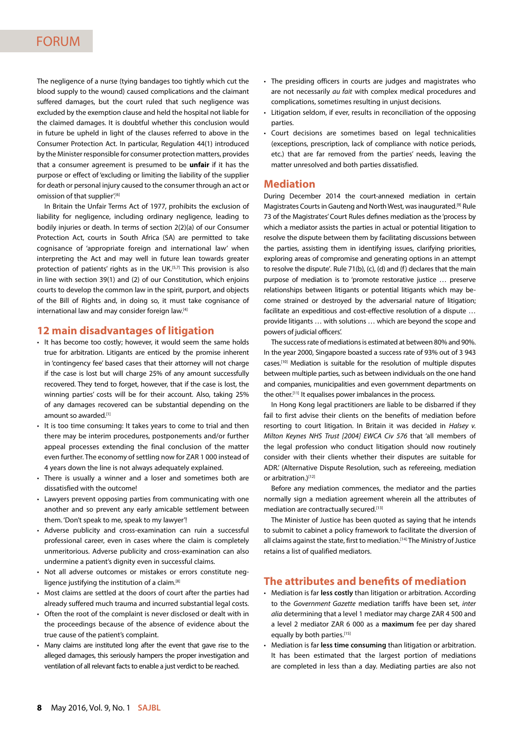The negligence of a nurse (tying bandages too tightly which cut the blood supply to the wound) caused complications and the claimant suffered damages, but the court ruled that such negligence was excluded by the exemption clause and held the hospital not liable for the claimed damages. It is doubtful whether this conclusion would in future be upheld in light of the clauses referred to above in the Consumer Protection Act. In particular, Regulation 44(1) introduced by the Minister responsible for consumer protection matters, provides that a consumer agreement is presumed to be **unfair** if it has the purpose or effect of 'excluding or limiting the liability of the supplier for death or personal injury caused to the consumer through an act or omission of that supplier.<sup>[6]</sup>

In Britain the Unfair Terms Act of 1977*,* prohibits the exclusion of liability for negligence, including ordinary negligence, leading to bodily injuries or death. In terms of section 2(2)(a) of our Consumer Protection Act, courts in South Africa (SA) are permitted to take cognisance of 'appropriate foreign and international law' when interpreting the Act and may well in future lean towards greater protection of patients' rights as in the UK.<sup>[5,7]</sup> This provision is also in line with section 39(1) and (2) of our Constitution, which enjoins courts to develop the common law in the spirit, purport, and objects of the Bill of Rights and, in doing so, it must take cognisance of international law and may consider foreign law.[4]

## **12 main disadvantages of litigation**

- It has become too costly; however, it would seem the same holds true for arbitration. Litigants are enticed by the promise inherent in 'contingency fee' based cases that their attorney will not charge if the case is lost but will charge 25% of any amount successfully recovered. They tend to forget, however, that if the case is lost, the winning parties' costs will be for their account. Also, taking 25% of any damages recovered can be substantial depending on the amount so awarded.[1]
- It is too time consuming: It takes years to come to trial and then there may be interim procedures, postponements and/or further appeal processes extending the final conclusion of the matter even further. The economy of settling now for ZAR 1 000 instead of 4 years down the line is not always adequately explained.
- There is usually a winner and a loser and sometimes both are dissatisfied with the outcome!
- Lawyers prevent opposing parties from communicating with one another and so prevent any early amicable settlement between them. 'Don't speak to me, speak to my lawyer'!
- Adverse publicity and cross-examination can ruin a successful professional career, even in cases where the claim is completely unmeritorious. Adverse publicity and cross-examination can also undermine a patient's dignity even in successful claims.
- Not all adverse outcomes or mistakes or errors constitute negligence justifying the institution of a claim.<sup>[8]</sup>
- Most claims are settled at the doors of court after the parties had already suffered much trauma and incurred substantial legal costs.
- Often the root of the complaint is never disclosed or dealt with in the proceedings because of the absence of evidence about the true cause of the patient's complaint.
- Many claims are instituted long after the event that gave rise to the alleged damages, this seriously hampers the proper investigation and ventilation of all relevant facts to enable a just verdict to be reached.
- The presiding officers in courts are judges and magistrates who are not necessarily *au fait* with complex medical procedures and complications, sometimes resulting in unjust decisions.
- Litigation seldom, if ever, results in reconciliation of the opposing parties.
- Court decisions are sometimes based on legal technicalities (exceptions, prescription, lack of compliance with notice periods, etc.) that are far removed from the parties' needs, leaving the matter unresolved and both parties dissatisfied.

#### **Mediation**

During December 2014 the court-annexed mediation in certain Magistrates Courts in Gauteng and North West, was inaugurated.[9] Rule 73 of the Magistrates' Court Rules defines mediation as the 'process by which a mediator assists the parties in actual or potential litigation to resolve the dispute between them by facilitating discussions between the parties, assisting them in identifying issues, clarifying priorities, exploring areas of compromise and generating options in an attempt to resolve the dispute'*.* Rule 71(b), (c), (d) and (f) declares that the main purpose of mediation is to 'promote restorative justice … preserve relationships between litigants or potential litigants which may become strained or destroyed by the adversarial nature of litigation; facilitate an expeditious and cost-effective resolution of a dispute … provide litigants … with solutions … which are beyond the scope and powers of judicial officers'.

The success rate of mediations is estimated at between 80% and 90%. In the year 2000, Singapore boasted a success rate of 93% out of 3 943 cases.[10] Mediation is suitable for the resolution of multiple disputes between multiple parties, such as between individuals on the one hand and companies, municipalities and even government departments on the other.[11] It equalises power imbalances in the process.

In Hong Kong legal practitioners are liable to be disbarred if they fail to first advise their clients on the benefits of mediation before resorting to court litigation. In Britain it was decided in *Halsey v. Milton Keynes NHS Trust [2004] EWCA Civ 576* that 'all members of the legal profession who conduct litigation should now routinely consider with their clients whether their disputes are suitable for ADR.' (Alternative Dispute Resolution, such as refereeing, mediation or arbitration.)[12]

Before any mediation commences, the mediator and the parties normally sign a mediation agreement wherein all the attributes of mediation are contractually secured.[13]

The Minister of Justice has been quoted as saying that he intends to submit to cabinet a policy framework to facilitate the diversion of all claims against the state, first to mediation.<sup>[14]</sup> The Ministry of Justice retains a list of qualified mediators.

## **The attributes and benefits of mediation**

- Mediation is far **less costly** than litigation or arbitration. According to the *Government Gazette* mediation tariffs have been set, *inter alia* determining that a level 1 mediator may charge ZAR 4 500 and a level 2 mediator ZAR 6 000 as a **maximum** fee per day shared equally by both parties.<sup>[15]</sup>
- Mediation is far **less time consuming** than litigation or arbitration. It has been estimated that the largest portion of mediations are completed in less than a day. Mediating parties are also not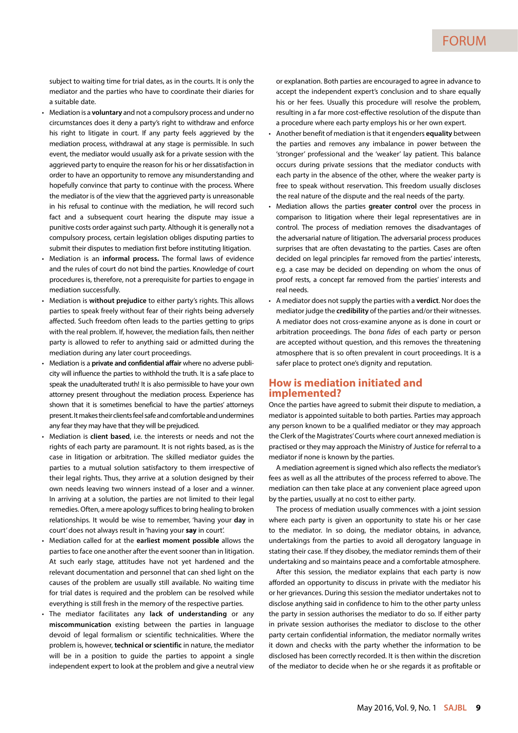subject to waiting time for trial dates, as in the courts. It is only the mediator and the parties who have to coordinate their diaries for a suitable date.

- Mediation is a **voluntary** and not a compulsory process and under no circumstances does it deny a party's right to withdraw and enforce his right to litigate in court. If any party feels aggrieved by the mediation process, withdrawal at any stage is permissible. In such event, the mediator would usually ask for a private session with the aggrieved party to enquire the reason for his or her dissatisfaction in order to have an opportunity to remove any misunderstanding and hopefully convince that party to continue with the process. Where the mediator is of the view that the aggrieved party is unreasonable in his refusal to continue with the mediation, he will record such fact and a subsequent court hearing the dispute may issue a punitive costs order against such party. Although it is generally not a compulsory process, certain legislation obliges disputing parties to submit their disputes to mediation first before instituting litigation.
- Mediation is an **informal process.** The formal laws of evidence and the rules of court do not bind the parties. Knowledge of court procedures is, therefore, not a prerequisite for parties to engage in mediation successfully.
- Mediation is **without prejudice** to either party's rights. This allows parties to speak freely without fear of their rights being adversely affected. Such freedom often leads to the parties getting to grips with the real problem. If, however, the mediation fails, then neither party is allowed to refer to anything said or admitted during the mediation during any later court proceedings.
- Mediation is a **private and confidential affair** where no adverse publicity will influence the parties to withhold the truth. It is a safe place to speak the unadulterated truth! It is also permissible to have your own attorney present throughout the mediation process. Experience has shown that it is sometimes beneficial to have the parties' attorneys present. It makes their clients feel safe and comfortable and undermines any fear they may have that they will be prejudiced.
- Mediation is **client based**, i.e. the interests or needs and not the rights of each party are paramount. It is not rights based, as is the case in litigation or arbitration. The skilled mediator guides the parties to a mutual solution satisfactory to them irrespective of their legal rights. Thus, they arrive at a solution designed by their own needs leaving two winners instead of a loser and a winner. In arriving at a solution, the parties are not limited to their legal remedies. Often, a mere apology suffices to bring healing to broken relationships. It would be wise to remember, 'having your **day** in court' does not always result in 'having your **say** in court'.
- Mediation called for at the **earliest moment possible** allows the parties to face one another after the event sooner than in litigation. At such early stage, attitudes have not yet hardened and the relevant documentation and personnel that can shed light on the causes of the problem are usually still available. No waiting time for trial dates is required and the problem can be resolved while everything is still fresh in the memory of the respective parties.
- The mediator facilitates any **lack of understanding** or any **miscommunication** existing between the parties in language devoid of legal formalism or scientific technicalities. Where the problem is, however, **technical or scientific** in nature, the mediator will be in a position to guide the parties to appoint a single independent expert to look at the problem and give a neutral view

or explanation. Both parties are encouraged to agree in advance to accept the independent expert's conclusion and to share equally his or her fees. Usually this procedure will resolve the problem, resulting in a far more cost-effective resolution of the dispute than a procedure where each party employs his or her own expert.

- Another benefit of mediation is that it engenders **equality** between the parties and removes any imbalance in power between the 'stronger' professional and the 'weaker' lay patient. This balance occurs during private sessions that the mediator conducts with each party in the absence of the other, where the weaker party is free to speak without reservation. This freedom usually discloses the real nature of the dispute and the real needs of the party.
- Mediation allows the parties **greater control** over the process in comparison to litigation where their legal representatives are in control. The process of mediation removes the disadvantages of the adversarial nature of litigation. The adversarial process produces surprises that are often devastating to the parties. Cases are often decided on legal principles far removed from the parties' interests, e.g. a case may be decided on depending on whom the onus of proof rests, a concept far removed from the parties' interests and real needs.
- A mediator does not supply the parties with a **verdict**. Nor does the mediator judge the **credibility** of the parties and/or their witnesses. A mediator does not cross-examine anyone as is done in court or arbitration proceedings. The *bona fides* of each party or person are accepted without question, and this removes the threatening atmosphere that is so often prevalent in court proceedings. It is a safer place to protect one's dignity and reputation.

## **How is mediation initiated and implemented?**

Once the parties have agreed to submit their dispute to mediation, a mediator is appointed suitable to both parties. Parties may approach any person known to be a qualified mediator or they may approach the Clerk of the Magistrates' Courts where court annexed mediation is practised or they may approach the Ministry of Justice for referral to a mediator if none is known by the parties.

A mediation agreement is signed which also reflects the mediator's fees as well as all the attributes of the process referred to above. The mediation can then take place at any convenient place agreed upon by the parties, usually at no cost to either party.

The process of mediation usually commences with a joint session where each party is given an opportunity to state his or her case to the mediator. In so doing, the mediator obtains, in advance, undertakings from the parties to avoid all derogatory language in stating their case. If they disobey, the mediator reminds them of their undertaking and so maintains peace and a comfortable atmosphere.

After this session, the mediator explains that each party is now afforded an opportunity to discuss in private with the mediator his or her grievances. During this session the mediator undertakes not to disclose anything said in confidence to him to the other party unless the party in session authorises the mediator to do so. If either party in private session authorises the mediator to disclose to the other party certain confidential information, the mediator normally writes it down and checks with the party whether the information to be disclosed has been correctly recorded. It is then within the discretion of the mediator to decide when he or she regards it as profitable or